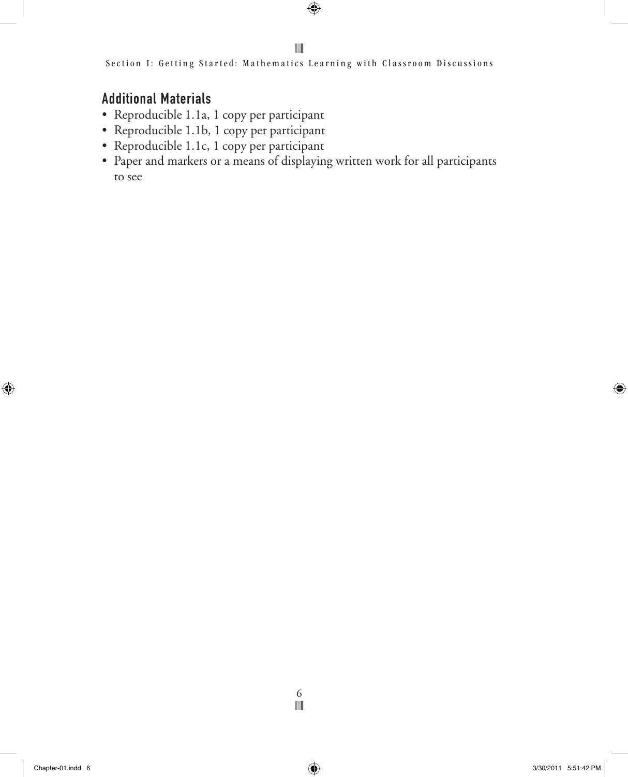Section I: Getting Started: Mathematics Learning with Classroom Discussions

# Additional Materials

- • Reproducible 1.1a, 1 copy per participant
- • Reproducible 1.1b, 1 copy per participant
- Reproducible 1.1c, 1 copy per participant
- Paper and markers or a means of displaying written work for all participants to see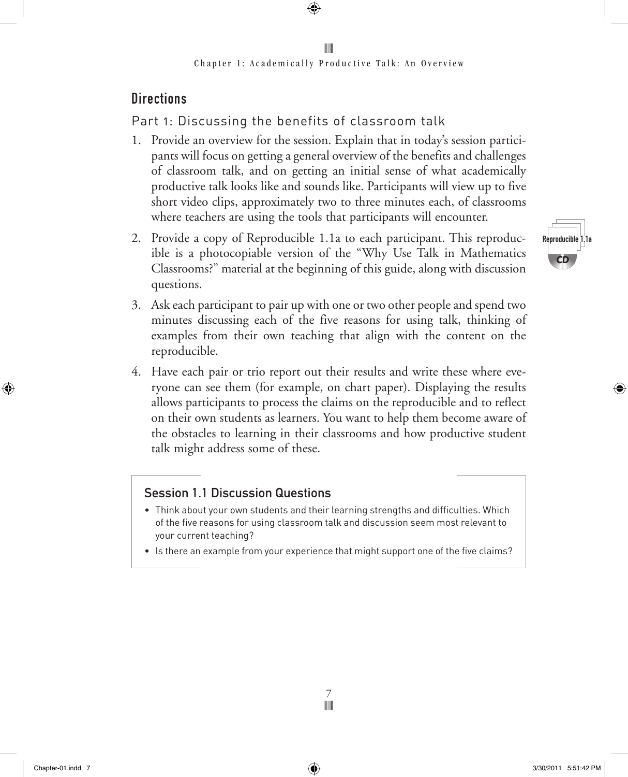# **Directions**

Part 1: Discussing the benefits of classroom talk

- 1. Provide an overview for the session. Explain that in today's session participants will focus on getting a general overview of the benefits and challenges of classroom talk, and on getting an initial sense of what academically productive talk looks like and sounds like. Participants will view up to five short video clips, approximately two to three minutes each, of classrooms where teachers are using the tools that participants will encounter.
- 2. Provide a copy of Reproducible 1.1a to each participant. This reproducible is a photocopiable version of the "Why Use Talk in Mathematics Classrooms?" material at the beginning of this guide, along with discussion questions.
- 3. Ask each participant to pair up with one or two other people and spend two minutes discussing each of the five reasons for using talk, thinking of examples from their own teaching that align with the content on the reproducible.
- 4. Have each pair or trio report out their results and write these where everyone can see them (for example, on chart paper). Displaying the results allows participants to process the claims on the reproducible and to reflect on their own students as learners. You want to help them become aware of the obstacles to learning in their classrooms and how productive student talk might address some of these.

# Session 1.1 Discussion Questions

- • Think about your own students and their learning strengths and difficulties. Which of the five reasons for using classroom talk and discussion seem most relevant to your current teaching?
- Is there an example from your experience that might support one of the five claims?

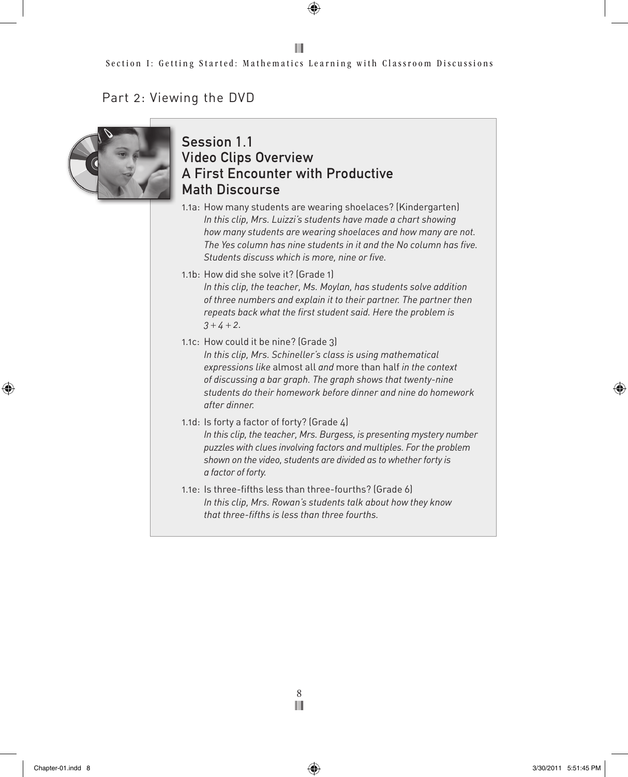#### III

#### Part 2: Viewing the DVD



### Session 1.1 Video Clips Overview A First Encounter with Productive Math Discourse

- 1.1a: How many students are wearing shoelaces? (Kindergarten) *In this clip, Mrs. Luizzi's students have made a chart showing how many students are wearing shoelaces and how many are not. The Yes column has nine students in it and the No column has five. Students discuss which is more, nine or five.*
- 1.1b: How did she solve it? (Grade 1) *In this clip, the teacher, Ms. Moylan, has students solve addition of three numbers and explain it to their partner. The partner then repeats back what the first student said. Here the problem is*   $3 + 4 + 2$ .
- 1.1c: How could it be nine? (Grade 3) *In this clip, Mrs. Schineller's class is using mathematical expressions like* almost all *and* more than half *in the context of discussing a bar graph. The graph shows that twenty-nine students do their homework before dinner and nine do homework after dinner.*
- 1.1d: Is forty a factor of forty? (Grade 4) *In this clip, the teacher, Mrs. Burgess, is presenting mystery number puzzles with clues involving factors and multiples. For the problem shown on the video, students are divided as to whether forty is a factor of forty.*
- 1.1e: Is three-fifths less than three-fourths? (Grade 6) *In this clip, Mrs. Rowan's students talk about how they know that three-fifths is less than three fourths.*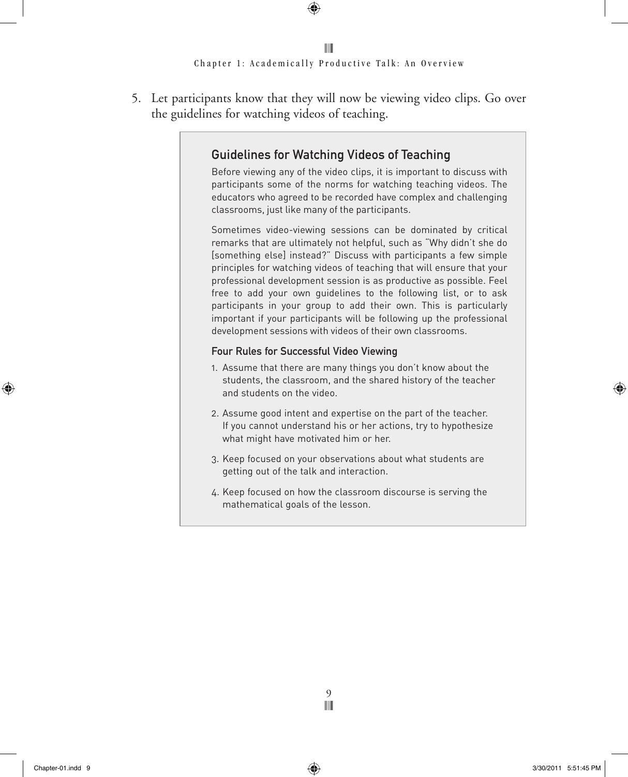5. Let participants know that they will now be viewing video clips. Go over the guidelines for watching videos of teaching.

### Guidelines for Watching Videos of Teaching

Before viewing any of the video clips, it is important to discuss with participants some of the norms for watching teaching videos. The educators who agreed to be recorded have complex and challenging classrooms, just like many of the participants.

Sometimes video-viewing sessions can be dominated by critical remarks that are ultimately not helpful, such as "Why didn't she do [something else] instead?" Discuss with participants a few simple principles for watching videos of teaching that will ensure that your professional development session is as productive as possible. Feel free to add your own guidelines to the following list, or to ask participants in your group to add their own. This is particularly important if your participants will be following up the professional development sessions with videos of their own classrooms.

#### Four Rules for Successful Video Viewing

- 1. Assume that there are many things you don't know about the students, the classroom, and the shared history of the teacher and students on the video.
- 2. Assume good intent and expertise on the part of the teacher. If you cannot understand his or her actions, try to hypothesize what might have motivated him or her.
- 3. Keep focused on your observations about what students are getting out of the talk and interaction.
- 4. Keep focused on how the classroom discourse is serving the mathematical goals of the lesson.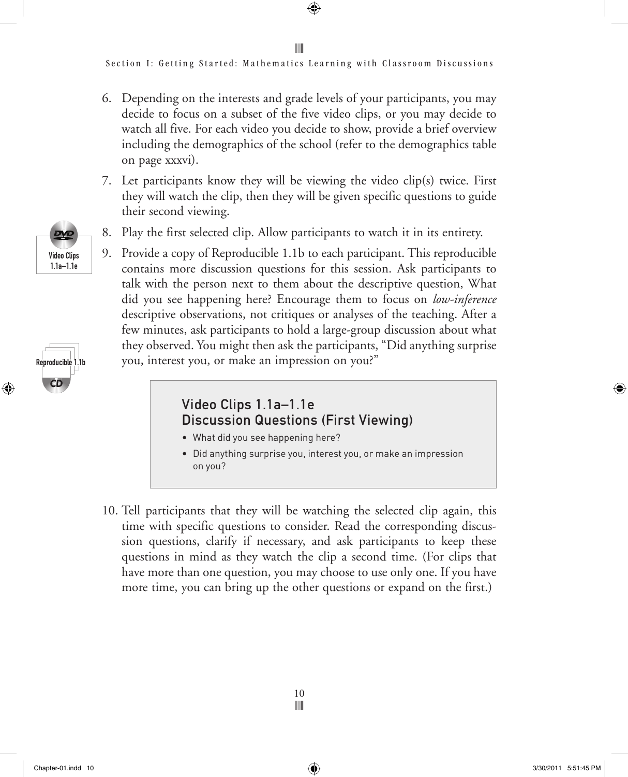Section I: Getting Started: Mathematics Learning with Classroom Discussions

- 6. Depending on the interests and grade levels of your participants, you may decide to focus on a subset of the five video clips, or you may decide to watch all five. For each video you decide to show, provide a brief overview including the demographics of the school (refer to the demographics table on page xxxvi).
- 7. Let participants know they will be viewing the video clip(s) twice. First they will watch the clip, then they will be given specific questions to guide their second viewing.
- 8. Play the first selected clip. Allow participants to watch it in its entirety.
- 9. Provide a copy of Reproducible 1.1b to each participant. This reproducible contains more discussion questions for this session. Ask participants to talk with the person next to them about the descriptive question, What did you see happening here? Encourage them to focus on *low-inference* descriptive observations, not critiques or analyses of the teaching. After a few minutes, ask participants to hold a large-group discussion about what they observed. You might then ask the participants, "Did anything surprise you, interest you, or make an impression on you?"

### Video Clips 1.1a–1.1e Discussion Questions (First Viewing)

- What did you see happening here?
- Did anything surprise you, interest you, or make an impression on you?
- 10. Tell participants that they will be watching the selected clip again, this time with specific questions to consider. Read the corresponding discussion questions, clarify if necessary, and ask participants to keep these questions in mind as they watch the clip a second time. (For clips that have more than one question, you may choose to use only one. If you have more time, you can bring up the other questions or expand on the first.)





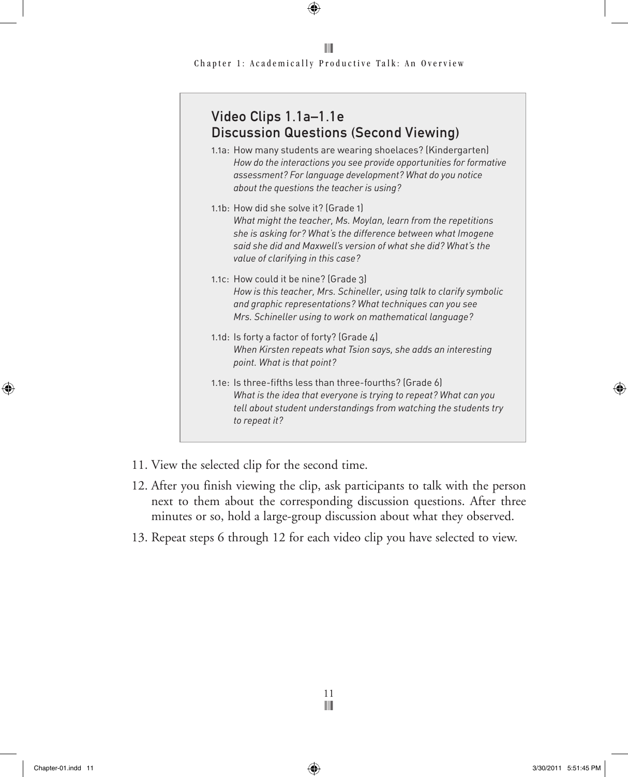| Video Clips 1.1a-1.1e<br><b>Discussion Questions (Second Viewing)</b>                                                                                                                                                                                                           |
|---------------------------------------------------------------------------------------------------------------------------------------------------------------------------------------------------------------------------------------------------------------------------------|
| 1.1a: How many students are wearing shoelaces? (Kindergarten)<br>How do the interactions you see provide opportunities for formative<br>assessment? For language development? What do you notice<br>about the questions the teacher is using?                                   |
| 1.1b: How did she solve it? (Grade 1)<br>What might the teacher, Ms. Moylan, learn from the repetitions<br>she is asking for? What's the difference between what Imogene<br>said she did and Maxwell's version of what she did? What's the<br>value of clarifying in this case? |
| 1.1c: How could it be nine? (Grade 3)<br>How is this teacher, Mrs. Schineller, using talk to clarify symbolic<br>and graphic representations? What techniques can you see<br>Mrs. Schineller using to work on mathematical language?                                            |
| 1.1d: Is forty a factor of forty? (Grade 4)<br>When Kirsten repeats what Tsion says, she adds an interesting<br>point. What is that point?                                                                                                                                      |
| 1.1e: Is three-fifths less than three-fourths? (Grade 6)<br>What is the idea that everyone is trying to repeat? What can you<br>tell about student understandings from watching the students try<br>to repeat it?                                                               |

- 11. View the selected clip for the second time.
- 12. After you finish viewing the clip, ask participants to talk with the person next to them about the corresponding discussion questions. After three minutes or so, hold a large-group discussion about what they observed.
- 13. Repeat steps 6 through 12 for each video clip you have selected to view.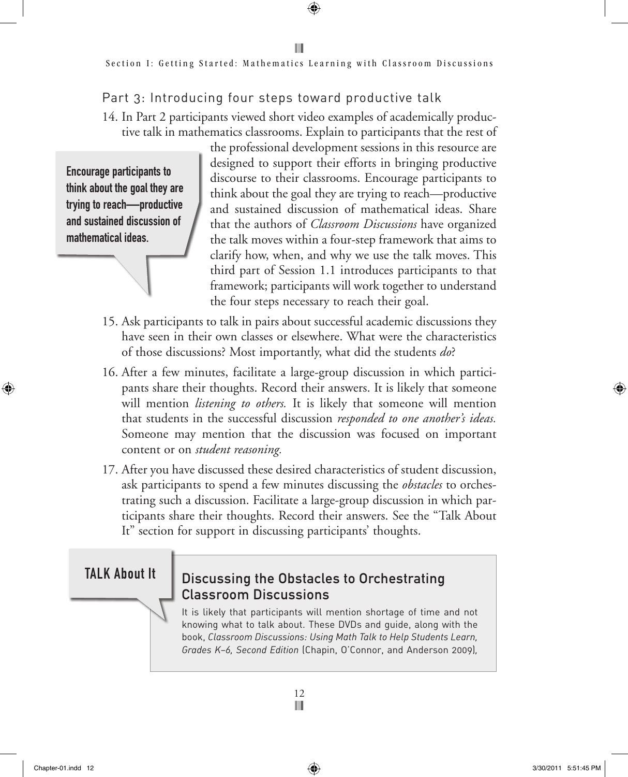## Part 3: Introducing four steps toward productive talk

14. In Part 2 participants viewed short video examples of academically productive talk in mathematics classrooms. Explain to participants that the rest of

Encourage participants to think about the goal they are trying to reach—productive and sustained discussion of mathematical ideas.

the professional development sessions in this resource are designed to support their efforts in bringing productive discourse to their classrooms. Encourage participants to think about the goal they are trying to reach—productive and sustained discussion of mathematical ideas. Share that the authors of *Classroom Discussions* have organized the talk moves within a four-step framework that aims to clarify how, when, and why we use the talk moves. This third part of Session 1.1 introduces participants to that framework; participants will work together to understand the four steps necessary to reach their goal.

- 15. Ask participants to talk in pairs about successful academic discussions they have seen in their own classes or elsewhere. What were the characteristics of those discussions? Most importantly, what did the students *do*?
- 16. After a few minutes, facilitate a large-group discussion in which participants share their thoughts. Record their answers. It is likely that someone will mention *listening to others.* It is likely that someone will mention that students in the successful discussion *responded to one another's ideas.* Someone may mention that the discussion was focused on important content or on *student reasoning.*
- 17. After you have discussed these desired characteristics of student discussion, ask participants to spend a few minutes discussing the *obstacles* to orchestrating such a discussion. Facilitate a large-group discussion in which participants share their thoughts. Record their answers. See the "Talk About It" section for support in discussing participants' thoughts.

## TALK About It

## Discussing the Obstacles to Orchestrating Classroom Discussions

It is likely that participants will mention shortage of time and not knowing what to talk about. These DVDs and guide, along with the book, *Classroom Discussions: Using Math Talk to Help Students Learn, Grades K–6, Second Edition* (Chapin, O'Connor, and Anderson 2009)*,*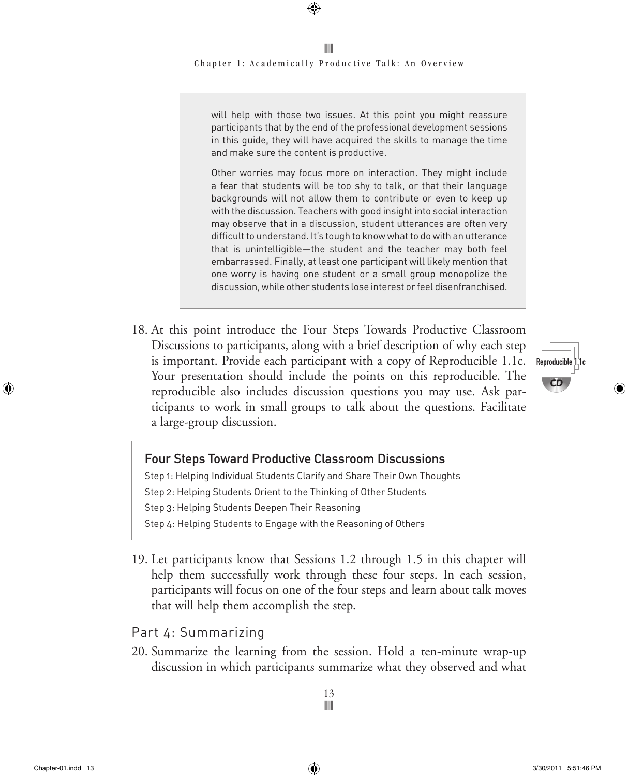will help with those two issues. At this point you might reassure participants that by the end of the professional development sessions in this guide, they will have acquired the skills to manage the time and make sure the content is productive.

Other worries may focus more on interaction. They might include a fear that students will be too shy to talk, or that their language backgrounds will not allow them to contribute or even to keep up with the discussion. Teachers with good insight into social interaction may observe that in a discussion, student utterances are often very difficult to understand. It's tough to know what to do with an utterance that is unintelligible—the student and the teacher may both feel embarrassed. Finally, at least one participant will likely mention that one worry is having one student or a small group monopolize the discussion, while other students lose interest or feel disenfranchised.

18. At this point introduce the Four Steps Towards Productive Classroom Discussions to participants, along with a brief description of why each step is important. Provide each participant with a copy of Reproducible 1.1c. Your presentation should include the points on this reproducible. The reproducible also includes discussion questions you may use. Ask participants to work in small groups to talk about the questions. Facilitate a large-group discussion.



# Four Steps Toward Productive Classroom Discussions

Step 1: Helping Individual Students Clarify and Share Their Own Thoughts Step 2: Helping Students Orient to the Thinking of Other Students Step 3: Helping Students Deepen Their Reasoning Step 4: Helping Students to Engage with the Reasoning of Others

19. Let participants know that Sessions 1.2 through 1.5 in this chapter will help them successfully work through these four steps. In each session, participants will focus on one of the four steps and learn about talk moves that will help them accomplish the step.

#### Part 4: Summarizing

20. Summarize the learning from the session. Hold a ten-minute wrap-up discussion in which participants summarize what they observed and what